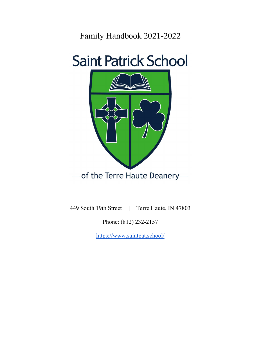Family Handbook 2021-2022





449 South 19th Street | Terre Haute, IN 47803

Phone: (812) 232-2157

https://www.saintpat.school/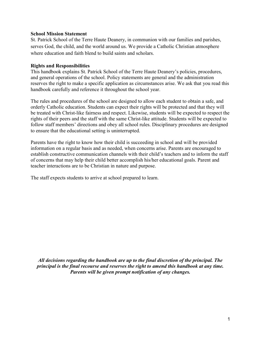#### School Mission Statement

St. Patrick School of the Terre Haute Deanery, in communion with our families and parishes, serves God, the child, and the world around us. We provide a Catholic Christian atmosphere where education and faith blend to build saints and scholars.

## Rights and Responsibilities

This handbook explains St. Patrick School of the Terre Haute Deanery's policies, procedures, and general operations of the school. Policy statements are general and the administration reserves the right to make a specific application as circumstances arise. We ask that you read this handbook carefully and reference it throughout the school year.

The rules and procedures of the school are designed to allow each student to obtain a safe, and orderly Catholic education. Students can expect their rights will be protected and that they will be treated with Christ-like fairness and respect. Likewise, students will be expected to respect the rights of their peers and the staff with the same Christ-like attitude. Students will be expected to follow staff members' directions and obey all school rules. Disciplinary procedures are designed to ensure that the educational setting is uninterrupted.

Parents have the right to know how their child is succeeding in school and will be provided information on a regular basis and as needed, when concerns arise. Parents are encouraged to establish constructive communication channels with their child's teachers and to inform the staff of concerns that may help their child better accomplish his/her educational goals. Parent and teacher interactions are to be Christian in nature and purpose.

The staff expects students to arrive at school prepared to learn.

All decisions regarding the handbook are up to the final discretion of the principal. The principal is the final recourse and reserves the right to amend this handbook at any time. Parents will be given prompt notification of any changes.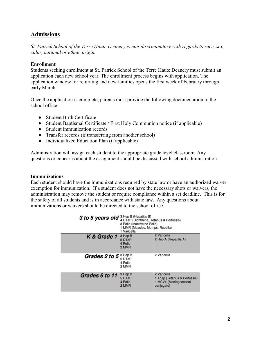# Admissions

St. Patrick School of the Terre Haute Deanery is non-discriminatory with regards to race, sex, color, national or ethnic origin.

#### Enrollment

Students seeking enrollment at St. Patrick School of the Terre Haute Deanery must submit an application each new school year. The enrollment process begins with application. The application window for returning and new families opens the first week of February through early March.

Once the application is complete, parents must provide the following documentation to the school office:

- Student Birth Certificate
- Student Baptismal Certificate / First Holy Communion notice (if applicable)
- Student immunization records
- Transfer records (if transferring from another school)
- Individualized Education Plan (if applicable)

Administration will assign each student to the appropriate grade level classroom. Any questions or concerns about the assignment should be discussed with school administration.

#### Immunizations

Each student should have the immunizations required by state law or have an authorized waiver exemption for immunization. If a student does not have the necessary shots or waivers, the administration may remove the student or require compliance within a set deadline. This is for the safety of all students and is in accordance with state law. Any questions about immunizations or waivers should be directed to the school office.

| 3 to 5 years old 3 Hep B (Hepatitis B) | 4 DTaP (Diphtheria, Tetanus & Pertussis)<br>3 Polio (Inactivated Polio)<br>1 MMR (Measles, Mumps, Rubella)<br>1 Varicella |                                                                                    |  |
|----------------------------------------|---------------------------------------------------------------------------------------------------------------------------|------------------------------------------------------------------------------------|--|
| K & Grade 1                            | 3 Hep B<br>5 DTaP<br>4 Polio<br>2 MMR                                                                                     | 2 Varicella<br>2 Hep A (Hepatitis A)                                               |  |
| Grades 2 to 5 <sup>3 Hep B</sup>       | 5 DTaP<br>4 Polio<br>2 MMR                                                                                                | 2 Varicella                                                                        |  |
| Grades 6 to 11                         | 3 Hep B<br>5 DTaP<br>4 Polio<br>2 MMR                                                                                     | 2 Varicella<br>1 Tdap (Tetanus & Pertussis)<br>1 MCV4 (Meningococcal<br>conjugate) |  |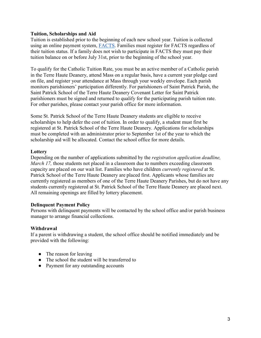#### Tuition, Scholarships and Aid

Tuition is established prior to the beginning of each new school year. Tuition is collected using an online payment system, FACTS. Families must register for FACTS regardless of their tuition status. If a family does not wish to participate in FACTS they must pay their tuition balance on or before July 31st, prior to the beginning of the school year.

To qualify for the Catholic Tuition Rate, you must be an active member of a Catholic parish in the Terre Haute Deanery, attend Mass on a regular basis, have a current year pledge card on file, and register your attendance at Mass through your weekly envelope. Each parish monitors parishioners' participation differently. For parishioners of Saint Patrick Parish, the Saint Patrick School of the Terre Haute Deanery Covenant Letter for Saint Patrick parishioners must be signed and returned to qualify for the participating parish tuition rate. For other parishes, please contact your parish office for more information.

Some St. Patrick School of the Terre Haute Deanery students are eligible to receive scholarships to help defer the cost of tuition. In order to qualify, a student must first be registered at St. Patrick School of the Terre Haute Deanery. Applications for scholarships must be completed with an administrator prior to September 1st of the year to which the scholarship aid will be allocated. Contact the school office for more details.

## **Lottery**

Depending on the number of applications submitted by the *registration application deadline*, March 17, those students not placed in a classroom due to numbers exceeding classroom capacity are placed on our wait list. Families who have children currently registered at St. Patrick School of the Terre Haute Deanery are placed first. Applicants whose families are currently registered as members of one of the Terre Haute Deanery Parishes, but do not have any students currently registered at St. Patrick School of the Terre Haute Deanery are placed next. All remaining openings are filled by lottery placement.

## Delinquent Payment Policy

Persons with delinquent payments will be contacted by the school office and/or parish business manager to arrange financial collections.

## Withdrawal

If a parent is withdrawing a student, the school office should be notified immediately and be provided with the following:

- The reason for leaving
- The school the student will be transferred to
- Payment for any outstanding accounts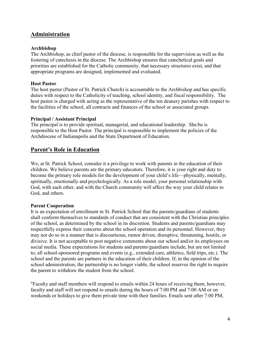# Administration

#### Archbishop

The Archbishop, as chief pastor of the diocese, is responsible for the supervision as well as the fostering of catechesis in the diocese. The Archbishop ensures that catechetical goals and priorities are established for the Catholic community, that necessary structures exist, and that appropriate programs are designed, implemented and evaluated.

#### Host Pastor

The host pastor (Pastor of St. Patrick Church) is accountable to the Archbishop and has specific duties with respect to the Catholicity of teaching, school identity, and fiscal responsibility. The host pastor is charged with acting as the representative of the ten deanery parishes with respect to the facilities of the school, all contracts and finances of the school or associated groups.

#### Principal / Assistant Principal

The principal is to provide spiritual, managerial, and educational leadership. She/he is responsible to the Host Pastor. The principal is responsible to implement the policies of the Archdiocese of Indianapolis and the State Department of Education.

# Parent's Role in Education

We, at St. Patrick School, consider it a privilege to work with parents in the education of their children. We believe parents are the primary educators. Therefore, it is your right and duty to become the primary role models for the development of your child's life—physically, mentally, spiritually, emotionally and psychologically. As a role model, your personal relationship with God, with each other, and with the Church community will affect the way your child relates to God, and others.

#### Parent Cooperation

It is an expectation of enrollment in St. Patrick School that the parents/guardians of students shall conform themselves to standards of conduct that are consistent with the Christian principles of the school, as determined by the school in its discretion. Students and parents/guardians may respectfully express their concerns about the school operation and its personnel. However, they may not do so in a manner that is discourteous, rumor driven, disruptive, threatening, hostile, or divisive. It is not acceptable to post negative comments about our school and/or its employees on social media. These expectations for students and parents/guardians include, but are not limited to; all school-sponsored programs and events (e.g., extended care, athletics, field trips, etc.). The school and the parents are partners in the education of their children. If, in the opinion of the school administration, the partnership is no longer viable, the school reserves the right to require the parent to withdraw the student from the school.

"Faculty and staff members will respond to emails within 24 hours of receiving them; however, faculty and staff will not respond to emails during the hours of 7:00 PM and 7:00 AM or on weekends or holidays to give them private time with their families. Emails sent after 7:00 PM,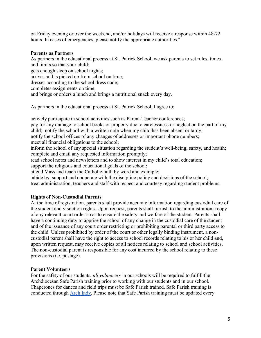on Friday evening or over the weekend, and/or holidays will receive a response within 48-72 hours. In cases of emergencies, please notify the appropriate authorities."

## Parents as Partners

As partners in the educational process at St. Patrick School, we ask parents to set rules, times, and limits so that your child: gets enough sleep on school nights; arrives and is picked up from school on time; dresses according to the school dress code; completes assignments on time; and brings or orders a lunch and brings a nutritional snack every day.

As partners in the educational process at St. Patrick School, I agree to:

actively participate in school activities such as Parent-Teacher conferences; pay for any damage to school books or property due to carelessness or neglect on the part of my child; notify the school with a written note when my child has been absent or tardy; notify the school offices of any changes of addresses or important phone numbers;

meet all financial obligations to the school;

inform the school of any special situation regarding the student's well-being, safety, and health; complete and email any requested information promptly;

read school notes and newsletters and to show interest in my child's total education; support the religious and educational goals of the school;

attend Mass and teach the Catholic faith by word and example;

 abide by, support and cooperate with the discipline policy and decisions of the school; treat administration, teachers and staff with respect and courtesy regarding student problems.

## Rights of Non-Custodial Parents

At the time of registration, parents shall provide accurate information regarding custodial care of the student and visitation rights. Upon request, parents shall furnish to the administration a copy of any relevant court order so as to ensure the safety and welfare of the student. Parents shall have a continuing duty to apprise the school of any change in the custodial care of the student and of the issuance of any court order restricting or prohibiting parental or third party access to the child. Unless prohibited by order of the court or other legally binding instrument, a noncustodial parent shall have the right to access to school records relating to his or her child and, upon written request, may receive copies of all notices relating to school and school activities. The non-custodial parent is responsible for any cost incurred by the school relating to these provisions (i.e. postage).

## Parent Volunteers

For the safety of our students, *all volunteers* in our schools will be required to fulfill the Archdiocesan Safe Parish training prior to working with our students and in our school. Chaperones for dances and field trips must be Safe Parish trained. Safe Parish training is conducted through Arch Indy. Please note that Safe Parish training must be updated every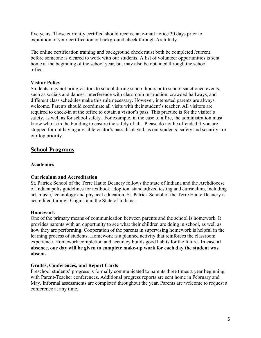five years. Those currently certified should receive an e-mail notice 30 days prior to expiration of your certification or background check through Arch Indy.

The online certification training and background check must both be completed /current before someone is cleared to work with our students. A list of volunteer opportunities is sent home at the beginning of the school year, but may also be obtained through the school office.

## Visitor Policy

Students may not bring visitors to school during school hours or to school sanctioned events, such as socials and dances. Interference with classroom instruction, crowded hallways, and different class schedules make this rule necessary. However, interested parents are always welcome. Parents should coordinate all visits with their student's teacher. All visitors are required to check-in at the office to obtain a visitor's pass. This practice is for the visitor's safety, as well as for school safety. For example, in the case of a fire, the administration must know who is in the building to ensure the safety of all. Please do not be offended if you are stopped for not having a visible visitor's pass displayed, as our students' safety and security are our top priority.

# School Programs

## Academics

#### Curriculum and Accreditation

St. Patrick School of the Terre Haute Deanery follows the state of Indiana and the Archdiocese of Indianapolis guidelines for textbook adoption, standardized testing and curriculum, including art, music, technology and physical education. St. Patrick School of the Terre Haute Deanery is accredited through Cognia and the State of Indiana.

#### Homework

One of the primary means of communication between parents and the school is homework. It provides parents with an opportunity to see what their children are doing in school, as well as how they are performing. Cooperation of the parents in supervising homework is helpful in the learning process of students. Homework is a planned activity that reinforces the classroom experience. Homework completion and accuracy builds good habits for the future. In case of absence, one day will be given to complete make-up work for each day the student was absent.

#### Grades, Conferences, and Report Cards

Preschool students' progress is formally communicated to parents three times a year beginning with Parent-Teacher conferences. Additional progress reports are sent home in February and May. Informal assessments are completed throughout the year. Parents are welcome to request a conference at any time.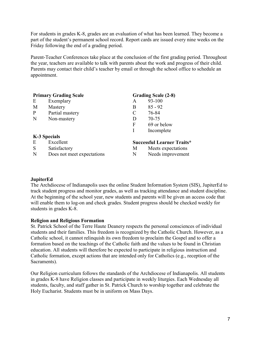For students in grades K-8, grades are an evaluation of what has been learned. They become a part of the student's permanent school record. Report cards are issued every nine weeks on the Friday following the end of a grading period.

Parent-Teacher Conferences take place at the conclusion of the first grading period. Throughout the year, teachers are available to talk with parents about the work and progress of their child. Parents may contact their child's teacher by email or through the school office to schedule an appointment.

|              | <b>Primary Grading Scale</b> |               | <b>Grading Scale (2-8)</b>        |  |
|--------------|------------------------------|---------------|-----------------------------------|--|
| E            | Exemplary                    | A             | 93-100                            |  |
| M            | Mastery                      | B             | $85 - 92$                         |  |
| P            | Partial mastery              | $\mathcal{C}$ | 76-84                             |  |
| N            | Non-mastery                  | D             | 70-75                             |  |
|              |                              | F             | 69 or below                       |  |
|              |                              |               | Incomplete                        |  |
| K-3 Specials |                              |               |                                   |  |
| E            | Excellent                    |               | <b>Successful Learner Traits*</b> |  |
| S            | Satisfactory                 | M             | Meets expectations                |  |
| N            | Does not meet expectations   | N             | Needs improvement                 |  |

## **JupiterEd**

The Archdiocese of Indianapolis uses the online Student Information System (SIS), JupiterEd to track student progress and monitor grades, as well as tracking attendance and student discipline. At the beginning of the school year, new students and parents will be given an access code that will enable them to log-on and check grades. Student progress should be checked weekly for students in grades K-8.

## Religion and Religious Formation

St. Patrick School of the Terre Haute Deanery respects the personal consciences of individual students and their families. This freedom is recognized by the Catholic Church. However, as a Catholic school, it cannot relinquish its own freedom to proclaim the Gospel and to offer a formation based on the teachings of the Catholic faith and the values to be found in Christian education. All students will therefore be expected to participate in religious instruction and Catholic formation, except actions that are intended only for Catholics (e.g., reception of the Sacraments).

Our Religion curriculum follows the standards of the Archdiocese of Indianapolis. All students in grades K-8 have Religion classes and participate in weekly liturgies. Each Wednesday all students, faculty, and staff gather in St. Patrick Church to worship together and celebrate the Holy Eucharist. Students must be in uniform on Mass Days.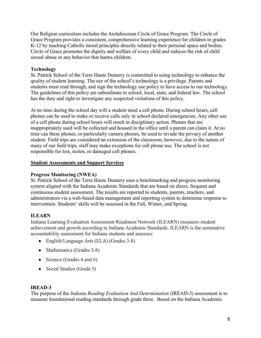Our Religion curriculum includes the Archdiocesan Circle of Grace Program. The Circle of Grace Program provides a consistent, comprehensive learning experience for children in grades K-12 by teaching Catholic moral principles directly related to their personal space and bodies. Circle of Grace promotes the dignity and welfare of every child and reduces the risk of child sexual abuse or any behavior that harms children.

## Technology

St. Patrick School of the Terre Haute Deanery is committed to using technology to enhance the quality of student learning. The use of the school's technology is a privilege. Parents and students must read through, and sign the technology use policy to have access to our technology. The guidelines of this policy are subordinate to school, local, state, and federal law. The school has the duty and right to investigate any suspected violations of this policy.

At no time during the school day will a student need a cell phone. During school hours, cell phones can be used to make or receive calls only in school declared emergencies. Any other use of a cell phone during school hours will result in disciplinary action. Phones that are inappropriately used will be collected and housed in the office until a parent can claim it. At no time can these phones, or particularly camera phones, be used to invade the privacy of another student. Field trips are considered an extension of the classroom; however, due to the nature of many of our field trips, staff may make exceptions for cell phone use. The school is not responsible for lost, stolen, or damaged cell phones.

#### Student Assessments and Support Services

#### Progress Monitoring (NWEA)

St. Patrick School of the Terre Haute Deanery uses a benchmarking and progress monitoring system aligned with the Indiana Academic Standards that are based on direct, frequent and continuous student assessment. The results are reported to students, parents, teachers, and administrators via a web-based data management and reporting system to determine response to intervention. Students' skills will be assessed in the Fall, Winter, and Spring.

#### ILEARN

Indiana Learning Evaluation Assessment Readiness Network (ILEARN) measures student achievement and growth according to Indiana Academic Standards. ILEARN is the summative accountability assessment for Indiana students and assesses:

- English/Language Arts (ELA) (Grades 3-8)
- Mathematics (Grades 3-8)
- Science (Grades  $4$  and  $6$ )
- Social Studies (Grade 5)

#### IREAD-3

The purpose of the Indiana Reading Evaluation And Determination (IREAD-3) assessment is to measure foundational reading standards through grade three. Based on the Indiana Academic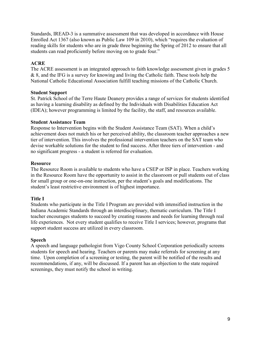Standards, IREAD-3 is a summative assessment that was developed in accordance with House Enrolled Act 1367 (also known as Public Law 109 in 2010), which "requires the evaluation of reading skills for students who are in grade three beginning the Spring of 2012 to ensure that all students can read proficiently before moving on to grade four."

## ACRE

The ACRE assessment is an integrated approach to faith knowledge assessment given in grades 5 & 8, and the IFG is a survey for knowing and living the Catholic faith. These tools help the National Catholic Educational Association fulfill teaching missions of the Catholic Church.

## Student Support

St. Patrick School of the Terre Haute Deanery provides a range of services for students identified as having a learning disability as defined by the Individuals with Disabilities Education Act (IDEA); however programming is limited by the facility, the staff, and resources available.

## Student Assistance Team

Response to Intervention begins with the Student Assistance Team (SAT). When a child's achievement does not match his or her perceived ability, the classroom teacher approaches a new tier of intervention. This involves the professional intervention teachers on the SAT team who devise workable solutions for the student to find success. After three tiers of intervention - and no significant progress - a student is referred for evaluation.

## Resource

The Resource Room is available to students who have a CSEP or ISP in place. Teachers working in the Resource Room have the opportunity to assist in the classroom or pull students out of class for small group or one-on-one instruction, per the student's goals and modifications. The student's least restrictive environment is of highest importance.

## Title I

Students who participate in the Title I Program are provided with intensified instruction in the Indiana Academic Standards through an interdisciplinary, thematic curriculum. The Title I teacher encourages students to succeed by creating reasons and needs for learning through real life experiences. Not every student qualifies to receive Title I services; however, programs that support student success are utilized in every classroom.

#### Speech

A speech and language pathologist from Vigo County School Corporation periodically screens students for speech and hearing. Teachers or parents may make referrals for screening at any time. Upon completion of a screening or testing, the parent will be notified of the results and recommendations, if any, will be discussed. If a parent has an objection to the state required screenings, they must notify the school in writing.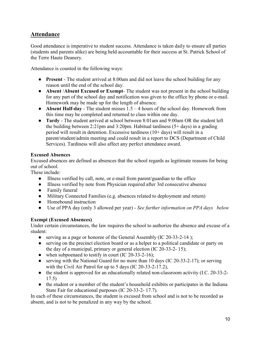# Attendance

Good attendance is imperative to student success. Attendance is taken daily to ensure all parties (students and parents alike) are being held accountable for their success at St. Patrick School of the Terre Haute Deanery.

Attendance is counted in the following ways:

- Present The student arrived at 8:00am and did not leave the school building for any reason until the end of the school day.
- Absent /Absent Excused or Exempt- The student was not present in the school building for any part of the school day and notification was given to the office by phone or e-mail. Homework may be made up for the length of absence.
- Absent Half-day The student misses  $1.5 4$  hours of the school day. Homework from this time may be completed and returned to class within one day.
- Tardy The student arrived at school between 8:01am and 9:00am OR the student left the building between 2:21pm and 3:20pm. Habitual tardiness (5+ days) in a grading period will result in detention. Excessive tardiness (10+ days) will result in a parent/student/admin meeting and could result in a report to DCS (Department of Child Services). Tardiness will also affect any perfect attendance award.

## Excused Absences

Excused absences are defined as absences that the school regards as legitimate reasons for being out of school.

These include:

- Illness verified by call, note, or e-mail from parent/guardian to the office
- Illness verified by note from Physician required after 3rd consecutive absence
- Family funeral
- Military Connected Families (e.g. absences related to deployment and return)
- Homebound instruction
- Use of PPA day (only 3 allowed per year) See further information on PPA days below

## Exempt (Excused Absences)

Under certain circumstances, the law requires the school to authorize the absence and excuse of a student:

- serving as a page or honoree of the General Assembly (IC 20-33-2-14);
- serving on the precinct election board or as a helper to a political candidate or party on the day of a municipal, primary or general election (IC 20-33-2- 15);
- when subpoenaed to testify in court (IC 20-33-2-16);
- serving with the National Guard for no more than 10 days (IC 20-33-2-17); or serving with the Civil Air Patrol for up to 5 days (IC 20-33-2-17.2),
- the student is approved for an educationally related non-classroom activity (I.C. 20-33-2-17.5)
- the student or a member of the student's household exhibits or participates in the Indiana State Fair for educational purposes (IC 20-33-2- 17.7).

In each of these circumstances, the student is excused from school and is not to be recorded as absent, and is not to be penalized in any way by the school.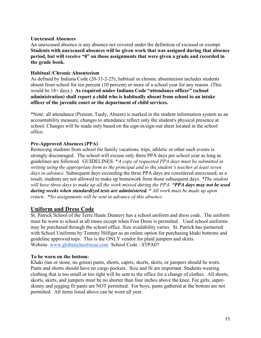## Unexcused Absences

An unexcused absence is any absence not covered under the definition of excused or exempt. Students with unexcused absences will be given work that was assigned during that absence period, but will receive "0" on those assignments that were given a grade and recorded in the grade book.

## Habitual /Chronic Absenteeism

As defined by Indiana Code (20-33-2-25), habitual or chronic absenteeism includes students absent from school for ten percent (10 percent) or more of a school year for any reason. (This would be 18+ days.) As required under Indiana Code "attendance officer" (school administration) shall report a child who is habitually absent from school to an intake officer of the juvenile court or the department of child services.

\*Note: all attendance (Present, Tardy, Absent) is marked in the student information system as an accountability measure, changes to attendance reflect only the student's physical presence at school. Changes will be made only based on the sign-in/sign-out sheet located in the school office.

## Pre-Approved Absences (PPA)

Removing students from school for family vacations, trips, athletic or other such events is strongly discouraged. The school will excuse only three PPA days per school year as long as guidelines are followed. GUIDELINES: \*A copy of requested PPA days must be submitted in writing using the appropriate form to the principal and to the student's teacher at least seven days in advance. Subsequent days exceeding the three PPA days are considered unexcused; as a result, students are not allowed to make up homework from those subsequent days. *\*The student* will have three days to make up all the work missed during the PPA. \*PPA days may not be used during weeks when standardized tests are administered. \* All work must be made up upon return. \*No assignments will be sent in advance of this absence.

# Uniform and Dress Code

St. Patrick School of the Terre Haute Deanery has a school uniform and dress code. The uniform must be worn to school at all times except when Free Dress is permitted. Used school uniforms may be purchased through the school office. Size availability varies. St. Patrick has partnered with School Uniforms by Tommy Hilfiger as an online option for purchasing khaki bottoms and guideline approved tops. This is the ONLY vendor for plaid jumpers and skirts. Website www.globalschoolwear.com School Code - STPA07

#### To be worn on the bottom:

Khaki (tan or stone, no green) pants, shorts, capris, skorts, skirts, or jumpers should be worn. Pants and shorts should have no cargo pockets. Size and fit are important. Students wearing clothing that is too small or too tight will be sent to the office for a change of clothes. All shorts, skorts, skirts, and jumpers must be no shorter than four inches above the knee. For girls, superskinny and jegging fit pants are NOT permitted. For boys, pants gathered at the bottom are not permitted. All items listed above can be worn all year.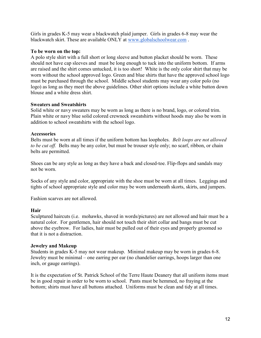Girls in grades K-5 may wear a blackwatch plaid jumper. Girls in grades 6-8 may wear the blackwatch skirt. These are available ONLY at www.globalschoolwear.com .

## To be worn on the top:

A polo style shirt with a full short or long sleeve and button placket should be worn. These should not have cap sleeves and must be long enough to tuck into the uniform bottom. If arms are raised and the shirt comes untucked, it is too short! White is the only color shirt that may be worn without the school approved logo. Green and blue shirts that have the approved school logo must be purchased through the school. Middle school students may wear any color polo (no logo) as long as they meet the above guidelines. Other shirt options include a white button down blouse and a white dress shirt.

## Sweaters and Sweatshirts

Solid white or navy sweaters may be worn as long as there is no brand, logo, or colored trim. Plain white or navy blue solid colored crewneck sweatshirts without hoods may also be worn in addition to school sweatshirts with the school logo.

## Accessories

Belts must be worn at all times if the uniform bottom has loopholes. *Belt loops are not allowed* to be cut off. Belts may be any color, but must be trouser style only; no scarf, ribbon, or chain belts are permitted.

Shoes can be any style as long as they have a back and closed-toe. Flip-flops and sandals may not be worn.

Socks of any style and color, appropriate with the shoe must be worn at all times. Leggings and tights of school appropriate style and color may be worn underneath skorts, skirts, and jumpers.

Fashion scarves are not allowed.

## Hair

Sculptured haircuts (i.e. mohawks, shaved in words/pictures) are not allowed and hair must be a natural color. For gentlemen, hair should not touch their shirt collar and bangs must be cut above the eyebrow. For ladies, hair must be pulled out of their eyes and properly groomed so that it is not a distraction.

#### Jewelry and Makeup

Students in grades K-5 may not wear makeup. Minimal makeup may be worn in grades 6-8. Jewelry must be minimal – one earring per ear (no chandelier earrings, hoops larger than one inch, or gauge earrings).

It is the expectation of St. Patrick School of the Terre Haute Deanery that all uniform items must be in good repair in order to be worn to school. Pants must be hemmed, no fraying at the bottom; shirts must have all buttons attached. Uniforms must be clean and tidy at all times.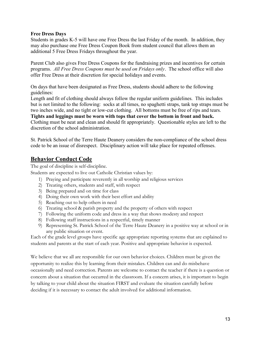## Free Dress Days

Students in grades K-5 will have one Free Dress the last Friday of the month. In addition, they may also purchase one Free Dress Coupon Book from student council that allows them an additional 5 Free Dress Fridays throughout the year.

Parent Club also gives Free Dress Coupons for the fundraising prizes and incentives for certain programs. All Free Dress Coupons must be used on Fridays only. The school office will also offer Free Dress at their discretion for special holidays and events.

On days that have been designated as Free Dress, students should adhere to the following guidelines:

Length and fit of clothing should always follow the regular uniform guidelines. This includes but is not limited to the following: socks at all times, no spaghetti straps, tank top straps must be two inches wide, and no tight or low-cut clothing. All bottoms must be free of rips and tears. Tights and leggings must be worn with tops that cover the bottom in front and back.

Clothing must be neat and clean and should fit appropriately. Questionable styles are left to the discretion of the school administration.

St. Patrick School of the Terre Haute Deanery considers the non-compliance of the school dress code to be an issue of disrespect. Disciplinary action will take place for repeated offenses.

# Behavior Conduct Code

The goal of discipline is self-discipline.

Students are expected to live out Catholic Christian values by:

- 1) Praying and participate reverently in all worship and religious services
- 2) Treating others, students and staff, with respect
- 3) Being prepared and on time for class
- 4) Doing their own work with their best effort and ability
- 5) Reaching out to help others in need
- 6) Treating school & parish property and the property of others with respect
- 7) Following the uniform code and dress in a way that shows modesty and respect
- 8) Following staff instructions in a respectful, timely manner
- 9) Representing St. Patrick School of the Terre Haute Deanery in a positive way at school or in any public situation or event.

Each of the grade level groups have specific age appropriate reporting systems that are explained to students and parents at the start of each year. Positive and appropriate behavior is expected.

We believe that we all are responsible for our own behavior choices. Children must be given the opportunity to realize this by learning from their mistakes. Children can and do misbehave occasionally and need correction. Parents are welcome to contact the teacher if there is a question or concern about a situation that occurred in the classroom. If a concern arises, it is important to begin by talking to your child about the situation FIRST and evaluate the situation carefully before deciding if it is necessary to contact the adult involved for additional information.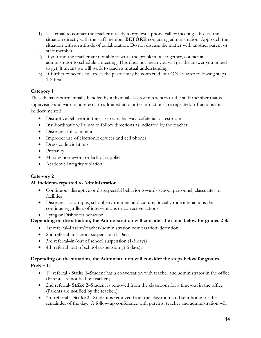- 1) Use email to contact the teacher directly to request a phone call or meeting. Discuss the situation directly with the staff member **BEFORE** contacting administration. Approach the situation with an attitude of collaboration. Do not discuss the matter with another parent or staff member.
- 2) If you and the teacher are not able to work the problem out together, contact an administrator to schedule a meeting. This does not mean you will get the answer you hoped to get; it means we will work to reach a mutual understanding.
- 3) If further concerns still exist, the pastor may be contacted, but ONLY after following steps 1-2 first.

# Category 1

These behaviors are initially handled by individual classroom teachers or the staff member that is supervising and warrant a referral to administration after infractions are repeated. Infractions must be documented.

- Disruptive behavior in the classroom, hallway, cafeteria, or restroom
- Insubordination/Failure to follow directions as indicated by the teacher
- Disrespectful comments
- Improper use of electronic devices and cell phones
- Dress code violations
- Profanity
- Missing homework or lack of supplies
- Academic Integrity violation

# Category 2

## All incidents reported to Administration

- Continuous disruptive or disrespectful behavior towards school personnel, classmates or facilities
- Disrespect to campus, school environment and culture; Socially rude interactions that continue regardless of interventions or corrective actions
- Lying or Dishonest behavior

# Depending on the situation, the Administration will consider the steps below for grades 2-8:

- 1st referral–Parent/teacher/administration conversation; detention
- 2nd referral–in school suspension (1 Day)
- 3rd referral–in/out of school suspension (1-3 days)
- 4th referral–out of school suspension (3-5 days);

# Depending on the situation, the Administration will consider the steps below for grades

 $PreK - 1:$ 

- 1<sup>st</sup> referral Strike 1–Student has a conversation with teacher and administrator in the office (Parents are notified by teacher.)
- 2nd referral- Strike 2–Student is removed from the classroom for a time-out in the office (Parents are notified by the teacher.)
- 3rd referral Strike 3 Student is removed from the classroom and sent home for the remainder of the day. A follow-up conference with parents, teacher and administration will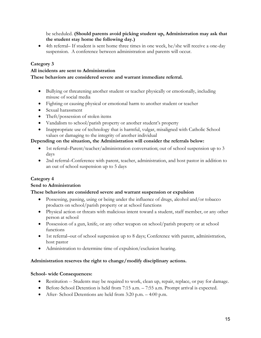be scheduled. (Should parents avoid picking student up, Administration may ask that the student stay home the following day.)

 4th referral– If student is sent home three times in one week, he/she will receive a one-day suspension. A conference between administration and parents will occur.

## Category 3

## All incidents are sent to Administration

## These behaviors are considered severe and warrant immediate referral.

- Bullying or threatening another student or teacher physically or emotionally, including misuse of social media
- Fighting or causing physical or emotional harm to another student or teacher
- Sexual harassment
- Theft/possession of stolen items
- Vandalism to school/parish property or another student's property
- Inappropriate use of technology that is harmful, vulgar, misaligned with Catholic School values or damaging to the integrity of another individual

## Depending on the situation, the Administration will consider the referrals below:

- 1st referral–Parent/teacher/administration conversation; out of school suspension up to 3 days
- 2nd referral–Conference with parent, teacher, administration, and host pastor in addition to an out of school suspension up to 5 days

# Category 4

## Send to Administration

## These behaviors are considered severe and warrant suspension or expulsion

- Possessing, passing, using or being under the influence of drugs, alcohol and/or tobacco products on school/parish property or at school functions
- Physical action or threats with malicious intent toward a student, staff member, or any other person at school
- Possession of a gun, knife, or any other weapon on school/parish property or at school functions
- 1st referral–out of school suspension up to 8 days; Conference with parent, administration, host pastor
- Administration to determine time of expulsion/exclusion hearing.

## Administration reserves the right to change/modify disciplinary actions.

## School- wide Consequences:

- Restitution -- Students may be required to work, clean up, repair, replace, or pay for damage.
- Before-School Detention is held from 7:15 a.m. 7:55 a.m. Prompt arrival is expected.
- After- School Detentions are held from 3:20 p.m. 4:00 p.m.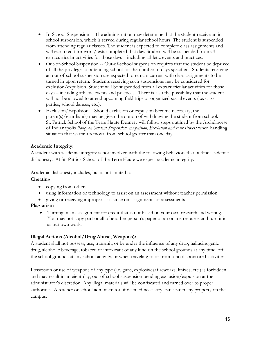- In-School Suspension -- The administration may determine that the student receive an inschool suspension, which is served during regular school hours. The student is suspended from attending regular classes. The student is expected to complete class assignments and will earn credit for work/tests completed that day. Student will be suspended from all extracurricular activities for those days – including athletic events and practices.
- Out-of-School Suspension -- Out-of-school suspension requires that the student be deprived of all the privileges of attending school for the number of days specified. Students receiving an out-of-school suspension are expected to remain current with class assignments to be turned in upon return. Students receiving such suspensions may be considered for exclusion/expulsion. Student will be suspended from all extracurricular activities for those days – including athletic events and practices. There is also the possibility that the student will not be allowed to attend upcoming field trips or organized social events (i.e. class parties, school dances, etc.).
- Exclusion/Expulsion -- Should exclusion or expulsion become necessary, the parent(s)/guardian(s) may be given the option of withdrawing the student from school. St. Patrick School of the Terre Haute Deanery will follow steps outlined by the Archdiocese of Indianapolis Policy on Student Suspension, Expulsion, Exclusion and Fair Process when handling situation that warrant removal from school greater than one day.

## Academic Integrity:

A student with academic integrity is not involved with the following behaviors that outline academic dishonesty. At St. Patrick School of the Terre Haute we expect academic integrity.

Academic dishonesty includes, but is not limited to:

## Cheating

- copying from others
- using information or technology to assist on an assessment without teacher permission
- giving or receiving improper assistance on assignments or assessments

## Plagiarism

 Turning in any assignment for credit that is not based on your own research and writing. You may not copy part or all of another person's paper or an online resource and turn it in as our own work.

## Illegal Actions (Alcohol/Drug Abuse, Weapons):

A student shall not possess, use, transmit, or be under the influence of any drug, hallucinogenic drug, alcoholic beverage, tobacco or intoxicant of any kind on the school grounds at any time, off the school grounds at any school activity, or when traveling to or from school sponsored activities.

Possession or use of weapons of any type (i.e. guns, explosives/fireworks, knives, etc.) is forbidden and may result in an eight-day, out-of-school suspension pending exclusion/expulsion at the administrator's discretion. Any illegal materials will be confiscated and turned over to proper authorities. A teacher or school administrator, if deemed necessary, can search any property on the campus.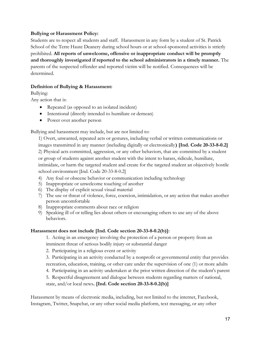## Bullying or Harassment Policy:

Students are to respect all students and staff. Harassment in any form by a student of St. Patrick School of the Terre Haute Deanery during school hours or at school-sponsored activities is strictly prohibited. All reports of unwelcome, offensive or inappropriate conduct will be promptly and thoroughly investigated if reported to the school administrators in a timely manner. The parents of the suspected offender and reported victim will be notified. Consequences will be determined.

## Definition of Bullying & Harassment:

Bullying:

Any action that is:

- Repeated (as opposed to an isolated incident)
- Intentional (directly intended to humiliate or demean)
- Power over another person

Bullying and harassment may include, but are not limited to:

1) Overt, unwanted, repeated acts or gestures, including verbal or written communications or images transmitted in any manner (including digitally or electronically) [Ind. Code 20-33-8-0.2] 2) Physical acts committed, aggression, or any other behaviors, that are committed by a student or group of students against another student with the intent to harass, ridicule, humiliate, intimidate, or harm the targeted student and create for the targeted student an objectively hostile school environment [Ind. Code 20-33-8-0.2]

- 4) Any foul or obscene behavior or communication including technology
- 5) Inappropriate or unwelcome touching of another
- 6) The display of explicit sexual visual material
- 7) The use or threat of violence, force, coercion, intimidation, or any action that makes another person uncomfortable
- 8) Inappropriate comments about race or religion
- 9) Speaking ill of or telling lies about others or encouraging others to use any of the above behaviors.

#### Harassment does not include [Ind. Code section 20-33-8-0.2(b)]:

1. Acting in an emergency involving the protection of a person or property from an imminent threat of serious bodily injury or substantial danger

- 2. Participating in a religious event or activity
- 3. Participating in an activity conducted by a nonprofit or governmental entity that provides recreation, education, training, or other care under the supervision of one (1) or more adults
- 4. Participating in an activity undertaken at the prior written direction of the student's parent

5. Respectful disagreement and dialogue between students regarding matters of national,

state, and/or local news. [Ind. Code section 20-33-8-0.2(b)]

Harassment by means of electronic media, including, but not limited to the internet, Facebook, Instagram, Twitter, Snapchat, or any other social media platform, text messaging, or any other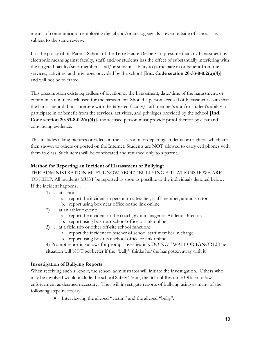means of communication employing digital and/or analog signals – even outside of school – is subject to the same review.

It is the policy of St. Patrick School of the Terre Haute Deanery to presume that any harassment by electronic means against faculty, staff, and/or students has the effect of substantially interfering with the targeted faculty/staff member's and/or student's ability to participate in or benefit from the services, activities, and privileges provided by the school [Ind. Code section 20-33-8-0.2(a)(4)] and will not be tolerated.

This presumption exists regardless of location or the harassment, date/time of the harassment, or communication network used for the harassment. Should a person accused of harassment claim that the harassment did not interfere with the targeted faculty/staff member's and/or student's ability to participate in or benefit from the services, activities, and privileges provided by the school [Ind. Code section 20-33-8-0.2(a)(4)], the accused person must provide proof thereof by clear and convincing evidence.

This includes taking pictures or videos in the classroom or depicting students or teachers, which are then shown to others or posted on the Internet. Students are NOT allowed to carry cell phones with them in class. Such items will be confiscated and returned only to a parent.

## Method for Reporting an Incident of Harassment or Bullying:

THE ADMINISTRATION MUST KNOW ABOUT BULLYING SITUATIONS IF WE ARE TO HELP. All incidents MUST be reported as soon as possible to the individuals denoted below. If the incident happens…

- 1) …at school:
	- a. report the incident in person to a teacher, staff member, administrator.
	- b. report using box near office or the link online
- 2) …at an athletic event:
	- a. report the incident to the coach, gym manager or Athletic Director.
	- b. report using box near school office or link online
- 3) …at a field trip or other off-site school function:
	- a. report the incident to teacher of school staff member in charge
	- b. report using box near school office or link online

4) Prompt reporting allows for prompt investigating. DO NOT WAIT OR IGNORE! The situation will NOT get better if the "bully" thinks he/she has gotten away with it.

# Investigation of Bullying Reports

When receiving such a report, the school administrator will initiate the investigation. Others who may be involved would include the school Safety Team, the School Resource Officer or law enforcement as deemed necessary. They will investigate reports of bullying using as many of the following steps necessary:

Interviewing the alleged "victim" and the alleged "bully".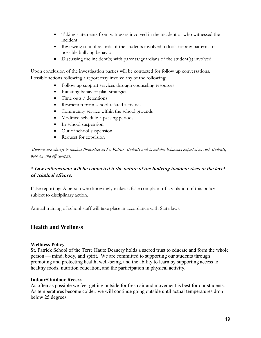- Taking statements from witnesses involved in the incident or who witnessed the incident.
- Reviewing school records of the students involved to look for any patterns of possible bullying behavior
- Discussing the incident(s) with parents/guardians of the student(s) involved.

Upon conclusion of the investigation parties will be contacted for follow up conversations. Possible actions following a report may involve any of the following:

- Follow up support services through counseling resources
- Initiating behavior plan strategies
- Time outs / detentions
- Restriction from school related activities
- Community service within the school grounds
- Modified schedule / passing periods
- In-school suspension
- Out of school suspension
- Request for expulsion

Students are always to conduct themselves as St. Patrick students and to exhibit behaviors expected as such students, both on and off campus.

## \* Law enforcement will be contacted if the nature of the bullying incident rises to the level of criminal offense.

False reporting: A person who knowingly makes a false complaint of a violation of this policy is subject to disciplinary action.

Annual training of school staff will take place in accordance with State laws.

# Health and Wellness

#### Wellness Policy

St. Patrick School of the Terre Haute Deanery holds a sacred trust to educate and form the whole person — mind, body, and spirit. We are committed to supporting our students through promoting and protecting health, well-being, and the ability to learn by supporting access to healthy foods, nutrition education, and the participation in physical activity.

#### Indoor/Outdoor Recess

As often as possible we feel getting outside for fresh air and movement is best for our students. As temperatures become colder, we will continue going outside until actual temperatures drop below 25 degrees.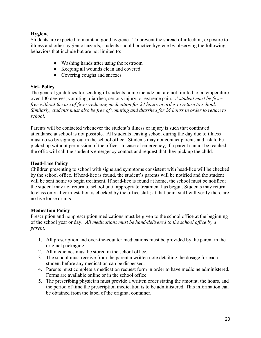## Hygiene

Students are expected to maintain good hygiene. To prevent the spread of infection, exposure to illness and other hygienic hazards, students should practice hygiene by observing the following behaviors that include but are not limited to:

- Washing hands after using the restroom
- Keeping all wounds clean and covered
- Covering coughs and sneezes

## Sick Policy

The general guidelines for sending ill students home include but are not limited to: a temperature over 100 degrees, vomiting, diarrhea, serious injury, or extreme pain. A student must be feverfree without the use of fever-reducing medication for 24 hours in order to return to school. Similarly, students must also be free of vomiting and diarrhea for 24 hours in order to return to school.

Parents will be contacted whenever the student's illness or injury is such that continued attendance at school is not possible. All students leaving school during the day due to illness must do so by signing-out in the school office. Students may not contact parents and ask to be picked up without permission of the office. In case of emergency, if a parent cannot be reached, the offic will call the student's emergency contact and request that they pick up the child.

## Head-Lice Policy

Children presenting to school with signs and symptoms consistent with head-lice will be checked by the school office. If head-lice is found, the student's parents will be notified and the student will be sent home to begin treatment. If head-lice is found at home, the school must be notified; the student may not return to school until appropriate treatment has begun. Students may return to class only after infestation is checked by the office staff; at that point staff will verify there are no live louse or nits.

## Medication Policy

Prescription and nonprescription medications must be given to the school office at the beginning of the school year or day. All medications must be hand-delivered to the school office by a parent.

- 1. All prescription and over-the-counter medications must be provided by the parent in the original packaging
- 2. All medicines must be stored in the school office.
- 3. The school must receive from the parent a written note detailing the dosage for each student before any medication can be dispensed.
- 4. Parents must complete a medication request form in order to have medicine administered. Forms are available online or in the school office.
- 5. The prescribing physician must provide a written order stating the amount, the hours, and the period of time the prescription medication is to be administered. This information can be obtained from the label of the original container.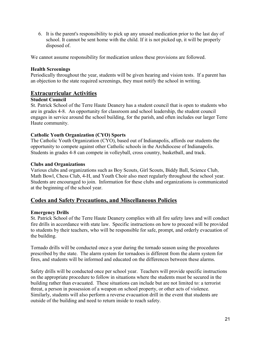6. It is the parent's responsibility to pick up any unused medication prior to the last day of school. It cannot be sent home with the child. If it is not picked up, it will be properly disposed of.

We cannot assume responsibility for medication unless these provisions are followed.

## Health Screenings

Periodically throughout the year, students will be given hearing and vision tests. If a parent has an objection to the state required screenings, they must notify the school in writing.

## Extracurricular Activities

## Student Council

St. Patrick School of the Terre Haute Deanery has a student council that is open to students who are in grades 4-8. An opportunity for classroom and school leadership, the student council engages in service around the school building, for the parish, and often includes our larger Terre Haute community.

## Catholic Youth Organization (CYO) Sports

The Catholic Youth Organization (CYO), based out of Indianapolis, affords our students the opportunity to compete against other Catholic schools in the Archdiocese of Indianapolis. Students in grades 4-8 can compete in volleyball, cross country, basketball, and track.

#### Clubs and Organizations

Various clubs and organizations such as Boy Scouts, Girl Scouts, Biddy Ball, Science Club, Math Bowl, Chess Club, 4-H, and Youth Choir also meet regularly throughout the school year. Students are encouraged to join. Information for these clubs and organizations is communicated at the beginning of the school year.

# Codes and Safety Precautions, and Miscellaneous Policies

#### Emergency Drills

St. Patrick School of the Terre Haute Deanery complies with all fire safety laws and will conduct fire drills in accordance with state law. Specific instructions on how to proceed will be provided to students by their teachers, who will be responsible for safe, prompt, and orderly evacuation of the building.

Tornado drills will be conducted once a year during the tornado season using the procedures prescribed by the state. The alarm system for tornadoes is different from the alarm system for fires, and students will be informed and educated on the differences between these alarms.

Safety drills will be conducted once per school year. Teachers will provide specific instructions on the appropriate procedure to follow in situations where the students must be secured in the building rather than evacuated. These situations can include but are not limited to: a terrorist threat, a person in possession of a weapon on school property, or other acts of violence. Similarly, students will also perform a reverse evacuation drill in the event that students are outside of the building and need to return inside to reach safety.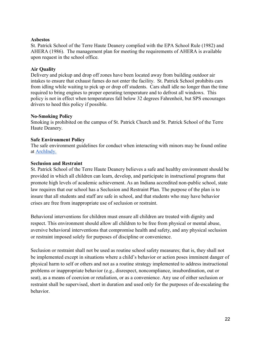#### Asbestos

St. Patrick School of the Terre Haute Deanery complied with the EPA School Rule (1982) and AHERA (1986). The management plan for meeting the requirements of AHERA is available upon request in the school office.

## Air Quality

Delivery and pickup and drop off zones have been located away from building outdoor air intakes to ensure that exhaust fumes do not enter the facility. St. Patrick School prohibits cars from idling while waiting to pick up or drop off students. Cars shall idle no longer than the time required to bring engines to proper operating temperature and to defrost all windows. This policy is not in effect when temperatures fall below 32 degrees Fahrenheit, but SPS encourages drivers to heed this policy if possible.

## No-Smoking Policy

Smoking is prohibited on the campus of St. Patrick Church and St. Patrick School of the Terre Haute Deanery.

## Safe Environment Policy

The safe environment guidelines for conduct when interacting with minors may be found online at ArchIndy.

## Seclusion and Restraint

St. Patrick School of the Terre Haute Deanery believes a safe and healthy environment should be provided in which all children can learn, develop, and participate in instructional programs that promote high levels of academic achievement. As an Indiana accredited non-public school, state law requires that our school has a Seclusion and Restraint Plan. The purpose of the plan is to insure that all students and staff are safe in school, and that students who may have behavior crises are free from inappropriate use of seclusion or restraint.

Behavioral interventions for children must ensure all children are treated with dignity and respect. This environment should allow all children to be free from physical or mental abuse, aversive behavioral interventions that compromise health and safety, and any physical seclusion or restraint imposed solely for purposes of discipline or convenience.

Seclusion or restraint shall not be used as routine school safety measures; that is, they shall not be implemented except in situations where a child's behavior or action poses imminent danger of physical harm to self or others and not as a routine strategy implemented to address instructional problems or inappropriate behavior (e.g., disrespect, noncompliance, insubordination, out or seat), as a means of coercion or retaliation, or as a convenience. Any use of either seclusion or restraint shall be supervised, short in duration and used only for the purposes of de-escalating the behavior.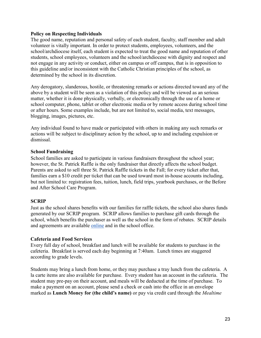#### Policy on Respecting Individuals

The good name, reputation and personal safety of each student, faculty, staff member and adult volunteer is vitally important. In order to protect students, employees, volunteers, and the school/archdiocese itself, each student is expected to treat the good name and reputation of other students, school employees, volunteers and the school/archdiocese with dignity and respect and not engage in any activity or conduct, either on campus or off campus, that is in opposition to this guideline and/or inconsistent with the Catholic Christian principles of the school, as determined by the school in its discretion.

Any derogatory, slanderous, hostile, or threatening remarks or actions directed toward any of the above by a student will be seen as a violation of this policy and will be viewed as an serious matter, whether it is done physically, verbally, or electronically through the use of a home or school computer, phone, tablet or other electronic media or by remote access during school time or after hours. Some examples include, but are not limited to, social media, text messages, blogging, images, pictures, etc.

Any individual found to have made or participated with others in making any such remarks or actions will be subject to disciplinary action by the school, up to and including expulsion or dismissal.

## School Fundraising

School families are asked to participate in various fundraisers throughout the school year; however, the St. Patrick Raffle is the only fundraiser that directly affects the school budget. Parents are asked to sell three St. Patrick Raffle tickets in the Fall; for every ticket after that, families earn a \$10 credit per ticket that can be used toward most in-house accounts including, but not limited to: registration fees, tuition, lunch, field trips, yearbook purchases, or the Before and After School Care Program.

## **SCRIP**

Just as the school shares benefits with our families for raffle tickets, the school also shares funds generated by our SCRIP program. SCRIP allows families to purchase gift cards through the school, which benefits the purchaser as well as the school in the form of rebates. SCRIP details and agreements are available online and in the school office.

#### Cafeteria and Food Services

Every full day of school, breakfast and lunch will be available for students to purchase in the cafeteria. Breakfast is served each day beginning at 7:40am. Lunch times are staggered according to grade levels.

Students may bring a lunch from home, or they may purchase a tray lunch from the cafeteria. A la carte items are also available for purchase. Every student has an account in the cafeteria. The student may pre-pay on their account, and meals will be deducted at the time of purchase. To make a payment on an account, please send a check or cash into the office in an envelope marked as Lunch Money for (the child's name) or pay via credit card through the *Mealtime*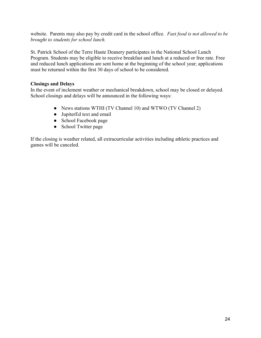website. Parents may also pay by credit card in the school office. Fast food is not allowed to be brought to students for school lunch.

St. Patrick School of the Terre Haute Deanery participates in the National School Lunch Program. Students may be eligible to receive breakfast and lunch at a reduced or free rate. Free and reduced lunch applications are sent home at the beginning of the school year; applications must be returned within the first 30 days of school to be considered.

## Closings and Delays

In the event of inclement weather or mechanical breakdown, school may be closed or delayed. School closings and delays will be announced in the following ways:

- News stations WTHI (TV Channel 10) and WTWO (TV Channel 2)
- JupiterEd text and email
- School Facebook page
- School Twitter page

If the closing is weather related, all extracurricular activities including athletic practices and games will be canceled.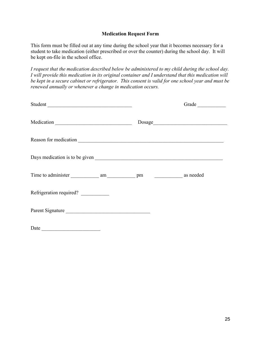## Medication Request Form

This form must be filled out at any time during the school year that it becomes necessary for a student to take medication (either prescribed or over the counter) during the school day. It will be kept on-file in the school office.

I request that the medication described below be administered to my child during the school day. I will provide this medication in its original container and I understand that this medication will be kept in a secure cabinet or refrigerator. This consent is valid for one school year and must be renewed annually or whenever a change in medication occurs.

| Student                 |                                                                                                                                                                                                                                                                                                                                                                    | Grade |
|-------------------------|--------------------------------------------------------------------------------------------------------------------------------------------------------------------------------------------------------------------------------------------------------------------------------------------------------------------------------------------------------------------|-------|
|                         | $\begin{picture}(150,10) \put(0,0){\vector(1,0){100}} \put(15,0){\vector(1,0){100}} \put(15,0){\vector(1,0){100}} \put(15,0){\vector(1,0){100}} \put(15,0){\vector(1,0){100}} \put(15,0){\vector(1,0){100}} \put(15,0){\vector(1,0){100}} \put(15,0){\vector(1,0){100}} \put(15,0){\vector(1,0){100}} \put(15,0){\vector(1,0){100}} \put(15,0){\vector(1,0){100}}$ |       |
|                         |                                                                                                                                                                                                                                                                                                                                                                    |       |
|                         |                                                                                                                                                                                                                                                                                                                                                                    |       |
|                         |                                                                                                                                                                                                                                                                                                                                                                    |       |
| Refrigeration required? |                                                                                                                                                                                                                                                                                                                                                                    |       |
| Parent Signature        |                                                                                                                                                                                                                                                                                                                                                                    |       |
|                         |                                                                                                                                                                                                                                                                                                                                                                    |       |

 $Date$   $\qquad \qquad$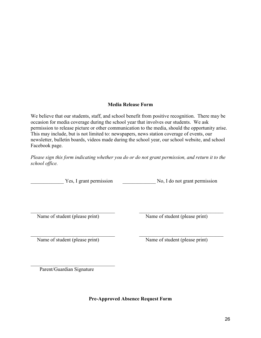## Media Release Form

We believe that our students, staff, and school benefit from positive recognition. There may be occasion for media coverage during the school year that involves our students. We ask permission to release picture or other communication to the media, should the opportunity arise. This may include, but is not limited to: newspapers, news station coverage of events, our newsletter, bulletin boards, videos made during the school year, our school website, and school Facebook page.

Please sign this form indicating whether you do or do not grant permission, and return it to the school office.

Yes, I grant permission No, I do not grant permission

Name of student (please print) Name of student (please print)

Name of student (please print) Name of student (please print)

Parent/Guardian Signature

Pre-Approved Absence Request Form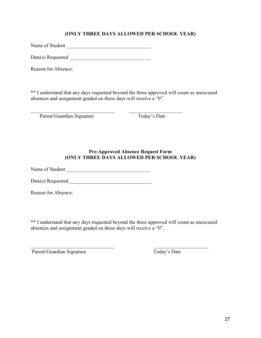## (ONLY THREE DAYS ALLOWED PER SCHOOL YEAR)

Name of Student \_\_\_\_\_\_\_\_\_\_\_\_\_\_\_\_\_\_\_\_\_\_\_\_\_\_\_\_\_\_\_\_\_

Date(s) Requested

Reason for Absence:

\*\* I understand that any days requested beyond the three approved will count as unexcused absences and assignment graded on these days will receive a "0".

Parent/Guardian Signature Today's Date

## Pre-Approved Absence Request Form (ONLY THREE DAYS ALLOWED PER SCHOOL YEAR)

Name of Student \_\_\_\_\_\_\_\_\_\_\_\_\_\_\_\_\_\_\_\_\_\_\_\_\_\_\_\_\_\_\_\_\_

Date(s) Requested \_\_\_\_\_\_\_\_\_\_\_\_\_\_\_\_\_\_\_\_\_\_\_\_\_\_\_\_\_\_\_\_

Reason for Absence:

\*\* I understand that any days requested beyond the three approved will count as unexcused absences and assignment graded on these days will receive a "0".

Parent/Guardian Signature Today's Date